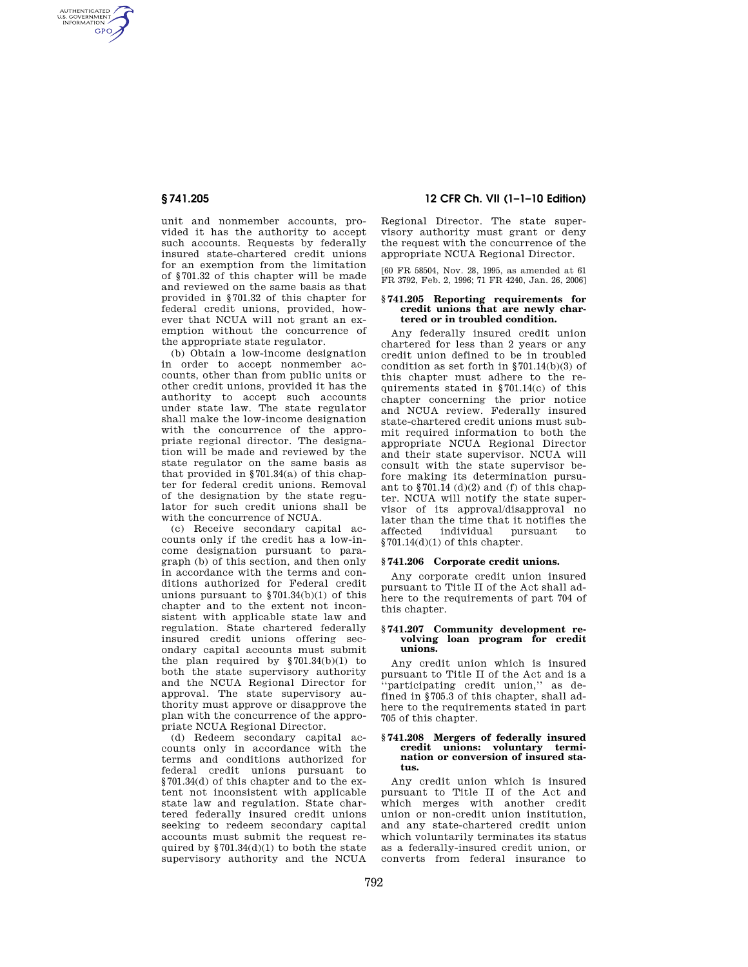AUTHENTICATED<br>U.S. GOVERNMENT<br>INFORMATION **GPO** 

> unit and nonmember accounts, provided it has the authority to accept such accounts. Requests by federally insured state-chartered credit unions for an exemption from the limitation of §701.32 of this chapter will be made and reviewed on the same basis as that provided in §701.32 of this chapter for federal credit unions, provided, however that NCUA will not grant an exemption without the concurrence of the appropriate state regulator.

> (b) Obtain a low-income designation in order to accept nonmember accounts, other than from public units or other credit unions, provided it has the authority to accept such accounts under state law. The state regulator shall make the low-income designation with the concurrence of the appropriate regional director. The designation will be made and reviewed by the state regulator on the same basis as that provided in  $§701.34(a)$  of this chapter for federal credit unions. Removal of the designation by the state regulator for such credit unions shall be with the concurrence of NCUA.

> (c) Receive secondary capital accounts only if the credit has a low-income designation pursuant to paragraph (b) of this section, and then only in accordance with the terms and conditions authorized for Federal credit unions pursuant to §701.34(b)(1) of this chapter and to the extent not inconsistent with applicable state law and regulation. State chartered federally insured credit unions offering secondary capital accounts must submit the plan required by  $$701.34(b)(1)$  to both the state supervisory authority and the NCUA Regional Director for approval. The state supervisory authority must approve or disapprove the plan with the concurrence of the appropriate NCUA Regional Director.

> (d) Redeem secondary capital accounts only in accordance with the terms and conditions authorized for federal credit unions pursuant to §701.34(d) of this chapter and to the extent not inconsistent with applicable state law and regulation. State chartered federally insured credit unions seeking to redeem secondary capital accounts must submit the request required by  $$701.34(d)(1)$  to both the state supervisory authority and the NCUA

# **§ 741.205 12 CFR Ch. VII (1–1–10 Edition)**

Regional Director. The state supervisory authority must grant or deny the request with the concurrence of the appropriate NCUA Regional Director.

[60 FR 58504, Nov. 28, 1995, as amended at 61 FR 3792, Feb. 2, 1996; 71 FR 4240, Jan. 26, 2006]

#### **§ 741.205 Reporting requirements for credit unions that are newly chartered or in troubled condition.**

Any federally insured credit union chartered for less than 2 years or any credit union defined to be in troubled condition as set forth in §701.14(b)(3) of this chapter must adhere to the requirements stated in §701.14(c) of this chapter concerning the prior notice and NCUA review. Federally insured state-chartered credit unions must submit required information to both the appropriate NCUA Regional Director and their state supervisor. NCUA will consult with the state supervisor before making its determination pursuant to  $$701.14$  (d)(2) and (f) of this chapter. NCUA will notify the state supervisor of its approval/disapproval no later than the time that it notifies the affected individual pursuant to  $$701.14(d)(1)$  of this chapter.

# **§ 741.206 Corporate credit unions.**

Any corporate credit union insured pursuant to Title II of the Act shall adhere to the requirements of part 704 of this chapter.

#### **§ 741.207 Community development revolving loan program for credit unions.**

Any credit union which is insured pursuant to Title II of the Act and is a 'participating credit union," as defined in §705.3 of this chapter, shall adhere to the requirements stated in part 705 of this chapter.

#### **§ 741.208 Mergers of federally insured credit unions: voluntary termination or conversion of insured status.**

Any credit union which is insured pursuant to Title II of the Act and which merges with another credit union or non-credit union institution, and any state-chartered credit union which voluntarily terminates its status as a federally-insured credit union, or converts from federal insurance to